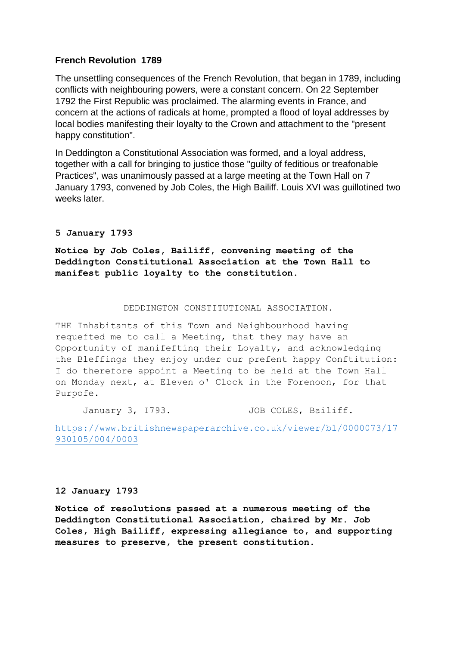# **French Revolution 1789**

The unsettling consequences of the French Revolution, that began in 1789, including conflicts with neighbouring powers, were a constant concern. On 22 September 1792 the First Republic was proclaimed. The alarming events in France, and concern at the actions of radicals at home, prompted a flood of loyal addresses by local bodies manifesting their loyalty to the Crown and attachment to the "present happy constitution".

In Deddington a Constitutional Association was formed, and a loyal address, together with a call for bringing to justice those "guilty of feditious or treafonable Practices", was unanimously passed at a large meeting at the Town Hall on 7 January 1793, convened by Job Coles, the High Bailiff. Louis XVI was guillotined two weeks later.

## **5 January 1793**

**Notice by Job Coles, Bailiff, convening meeting of the Deddington Constitutional Association at the Town Hall to manifest public loyalty to the constitution.**

#### DEDDINGTON CONSTITUTIONAL ASSOCIATION.

THE Inhabitants of this Town and Neighbourhood having requefted me to call a Meeting, that they may have an Opportunity of manifefting their Loyalty, and acknowledging the Bleffings they enjoy under our prefent happy Conftitution: I do therefore appoint a Meeting to be held at the Town Hall on Monday next, at Eleven o' Clock in the Forenoon, for that Purpofe.

January 3, 1793. JOB COLES, Bailiff.

[https://www.britishnewspaperarchive.co.uk/viewer/bl/0000073/17](https://www.britishnewspaperarchive.co.uk/viewer/bl/0000073/17930105/004/0003) [930105/004/0003](https://www.britishnewspaperarchive.co.uk/viewer/bl/0000073/17930105/004/0003)

### **12 January 1793**

**Notice of resolutions passed at a numerous meeting of the Deddington Constitutional Association, chaired by Mr. Job Coles, High Bailiff, expressing allegiance to, and supporting measures to preserve, the present constitution.**